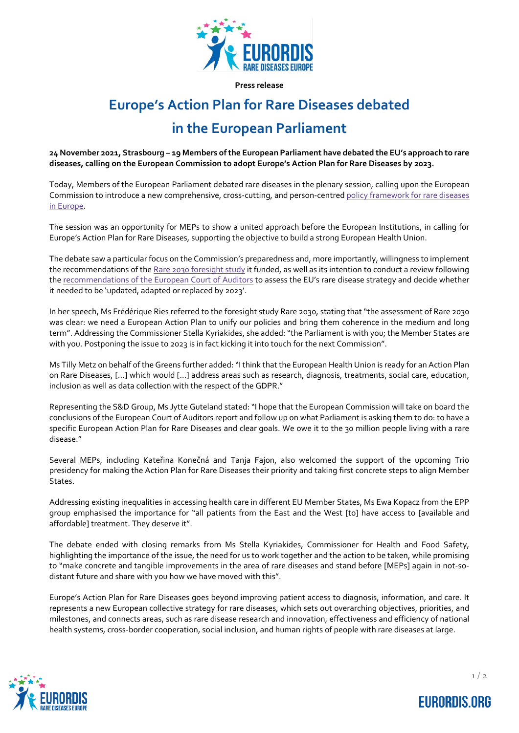

**Press release**

# **Europe's Action Plan for Rare Diseases debated**

## **in the European Parliament**

**24 November 2021, Strasbourg – 19 Members of the European Parliament have debated the EU's approach to rare diseases, calling on the European Commission to adopt Europe's Action Plan for Rare Diseases by 2023.**

Today, Members of the European Parliament debated rare diseases in the plenary session, calling upon the European Commission to introduce a new comprehensive, cross-cutting, and person-centre[d policy framework for rare diseases](https://www.eurordis.org/30millionreasons)  [in Europe.](https://www.eurordis.org/30millionreasons)

The session was an opportunity for MEPs to show a united approach before the European Institutions, in calling for Europe's Action Plan for Rare Diseases, supporting the objective to build a strong European Health Union.

The debate saw a particular focus on the Commission's preparedness and, more importantly, willingness to implement the recommendations of th[e Rare 2030 foresight study](https://www.rare2030.eu/) it funded, as well as its intention to conduct a review following th[e recommendations of the European Court of Auditors](https://op.europa.eu/webpub/eca/special-reports/cross-border-health-care-7-2019/en/) to assess the EU's rare disease strategy and decide whether it needed to be 'updated, adapted or replaced by 2023'.

In her speech, Ms Frédérique Ries referred to the foresight study Rare 2030, stating that "the assessment of Rare 2030 was clear: we need a European Action Plan to unify our policies and bring them coherence in the medium and long term". Addressing the Commissioner Stella Kyriakides, she added: "the Parliament is with you; the Member States are with you. Postponing the issue to 2023 is in fact kicking it into touch for the next Commission".

Ms Tilly Metz on behalf of the Greens further added: "I think that the European Health Union is ready for an Action Plan on Rare Diseases, […] which would […] address areas such as research, diagnosis, treatments, social care, education, inclusion as well as data collection with the respect of the GDPR."

Representing the S&D Group, Ms Jytte Guteland stated: "I hope that the European Commission will take on board the conclusions of the European Court of Auditors report and follow up on what Parliament is asking them to do: to have a specific European Action Plan for Rare Diseases and clear goals. We owe it to the 30 million people living with a rare disease."

Several MEPs, including Kateřina Konečná and Tanja Fajon, also welcomed the support of the upcoming Trio presidency for making the Action Plan for Rare Diseases their priority and taking first concrete steps to align Member States.

Addressing existing inequalities in accessing health care in different EU Member States, Ms Ewa Kopacz from the EPP group emphasised the importance for "all patients from the East and the West [to] have access to [available and affordable] treatment. They deserve it".

The debate ended with closing remarks from Ms Stella Kyriakides, Commissioner for Health and Food Safety, highlighting the importance of the issue, the need for us to work together and the action to be taken, while promising to "make concrete and tangible improvements in the area of rare diseases and stand before [MEPs] again in not-sodistant future and share with you how we have moved with this".

Europe's Action Plan for Rare Diseases goes beyond improving patient access to diagnosis, information, and care. It represents a new European collective strategy for rare diseases, which sets out overarching objectives, priorities, and milestones, and connects areas, such as rare disease research and innovation, effectiveness and efficiency of national health systems, cross-border cooperation, social inclusion, and human rights of people with rare diseases at large.



**EURORDIS.ORG**